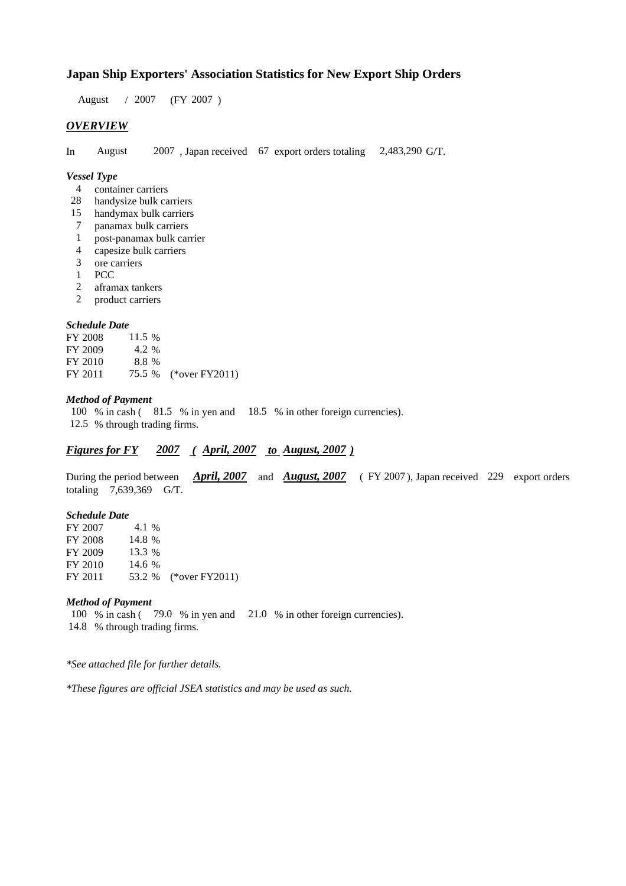# **Japan Ship Exporters' Association Statistics for New Export Ship Orders**

 $/ 2007$  (FY 2007) August / 2007

### *OVERVIEW*

In August  $2007$ , Japan received 67 export orders totaling  $2,483,290$  G/T. August

#### *Vessel Type*

- container carriers 4
- handysize bulk carriers 28
- handymax bulk carriers 15
- panamax bulk carriers 7
- post-panamax bulk carrier 1
- capesize bulk carriers 4
- ore carriers 3
- 1 PCC
- aframax tankers 2
- product carriers 2

#### *Schedule Date*

**FY 2008** FY 2009 FY 2010 FY 2011 75.5 % (\*over FY2011) 11.5 % 8.8 4.2 %

#### *Method of Payment*

100 % in cash (81.5 % in yen and 18.5 % in other foreign currencies). % through trading firms. 12.5

## *Figures for FY* 2007 (April, 2007 *to August, 2007*)

During the period between *April, 2007* and *August, 2007* (FY 2007), Japan received 229 export orders totaling  $7,639,369$  G/T.

#### *Schedule Date*

FY 2007 FY 2008 FY 2009 FY 2010 FY 2011 53.2 % (\*over FY2011) 14.6 % 53.2 14.8 % 13.3 4.1 %

#### *Method of Payment*

100 % in cash (79.0 % in yen and 21.0 % in other foreign currencies). % through trading firms. 14.8

*\*See attached file for further details.*

*\*These figures are official JSEA statistics and may be used as such.*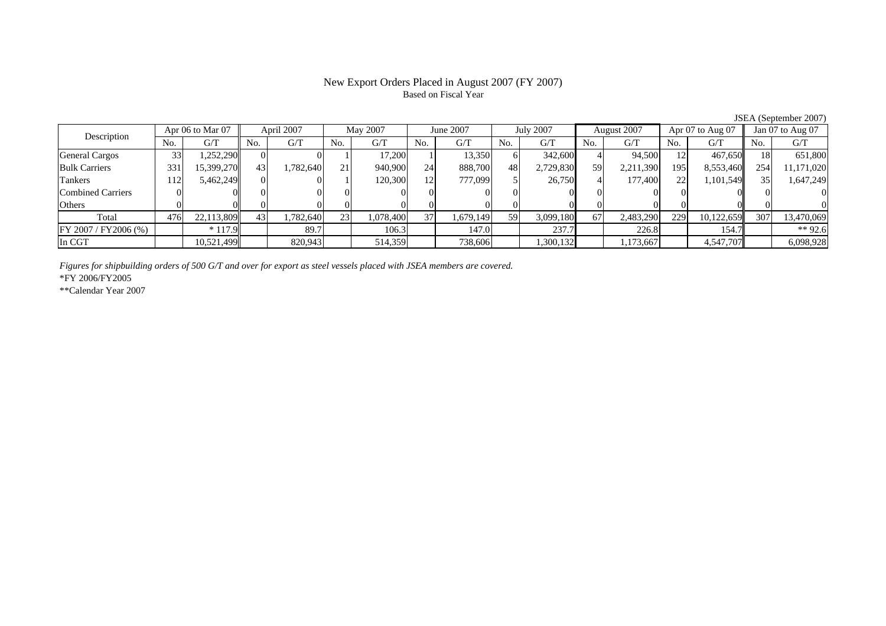## New Export Orders Placed in August 2007 (FY 2007) Based on Fiscal Year

No. G/T No. G/T No. G/T No. G/T No. G/T No. G/T No. G/T No. G/TGeneral Cargos ( 33 1,252,290 0 0 0 1 17,200 1 13,350 6 342,600 4 94,500 12 467,650 18 651,800 Bulk Carriers 331 15,399,270 43 1,782,640 21 940,900 24 888,700 48 2,729,830 59 2,211,390 195 8,553,460 254 11,171,020 Tankers | 112| 5,462,249| 0| 0| 1| 120,300| 12| 777,099| 5| 26,750| 4| 177,400| 22| 1,101,549|| 35| 1,647,249 Combined Carriers 0 0 0 0 0 0 0 0 0 0 0 0 0 0 0 0Others 0 0 0 0 0 0 0 0 0 0 0 0 0 0 0 0 $\mathbf{0}$ Total 476 22,113,809 43 1,782,640 23 1,078,400 37 1,679,149 59 3,099,180 67 2,483,290 229 10,122,659 307 13,470,069 FY 2007 / FY2006 (%) \* 117.9 89.7 106.3 147.0 237.7 226.8 154.7 \*\* 92.6 In CGT | | 10,521,499| | 820,943| | 514,359| | 738,606| | 1,300,132| | 1,173,667| | 4,547,707|| | 6,098,928 Description Apr 06 to Mar 07 April 2007 May 2007 June 2007<br>No. 6/T No. 6/T No. 6/T No. 6/T No. 6/T July 2007 August 2007 Apr 07 to Aug 07 Jan 07 to Aug 07

*Figures for shipbuilding orders of 500 G/T and over for export as steel vessels placed with JSEA members are covered.*

\*FY 2006/FY2005

\*\*Calendar Year 2007

JSEA (September 2007)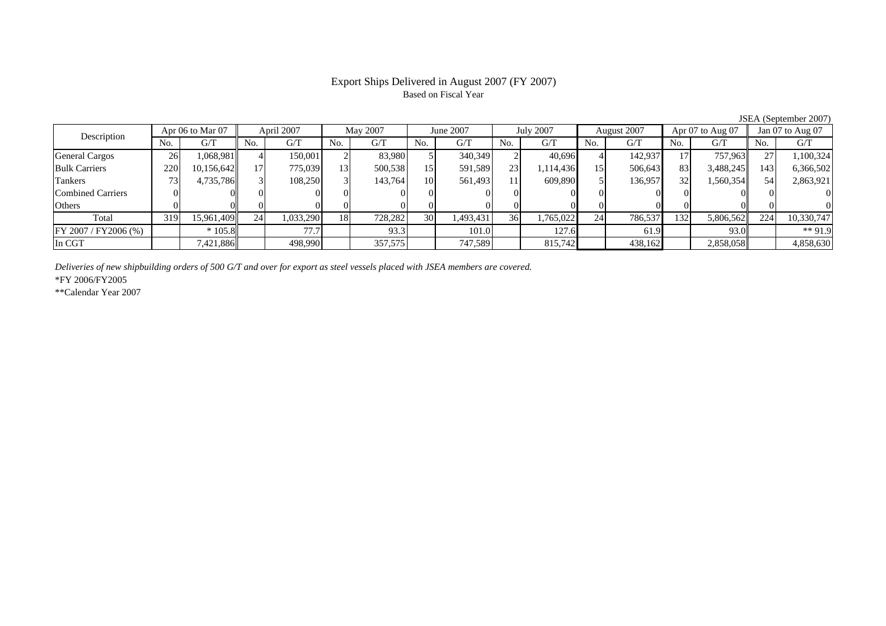## Export Ships Delivered in August 2007 (FY 2007) Based on Fiscal Year

JSEA (September 2007)

| Description              | Apr 06 to Mar 07 |            | April 2007 |           | May 2007 |         | June 2007       |           | <b>July 2007</b> |           | August 2007 |         | Apr $07$ to Aug $07$ |           | Jan 07 to Aug 07 |            |
|--------------------------|------------------|------------|------------|-----------|----------|---------|-----------------|-----------|------------------|-----------|-------------|---------|----------------------|-----------|------------------|------------|
|                          | No.              | G/T        | No.        | G/T       | No.      | G/T     | No.             | G/T       | No.              | G/T       | No.         | G/T     | No.                  | G/T       | No.              | G/T        |
| <b>General Cargos</b>    | 26               | 1,068,981  |            | 150,001   |          | 83.980  |                 | 340,349   |                  | 40.696    |             | 142.937 |                      | 757,963   |                  | 1,100,324  |
| <b>Bulk Carriers</b>     | 220              | 10,156,642 |            | 775,039   | 13       | 500,538 | 15              | 591,589   | 231              | 1,114,436 | 15          | 506,643 | 83                   | 3,488,245 | 143              | 6,366,502  |
| Tankers                  |                  | 4,735,786  |            | 108,250   |          | 143,764 | 10              | 561,493   | 11               | 609.890   |             | 136,957 | 32                   | 1,560,354 | 54               | 2,863,921  |
| <b>Combined Carriers</b> |                  |            | 01         |           |          |         |                 |           |                  |           |             |         |                      |           |                  |            |
| Others                   |                  |            |            |           |          |         |                 |           |                  |           |             |         |                      |           |                  |            |
| Total                    | 319              | 15,961,409 | 24         | 1,033,290 | 18       | 728,282 | 30 <sup>1</sup> | 1,493,431 | 36 <sup>I</sup>  | 1,765,022 | 24          | 786,537 | 132                  | 5,806,562 | 224              | 10,330,747 |
| FY 2007 / FY2006 (%)     |                  | $*105.8$   |            | 77.7      |          | 93.3    |                 | 101.0     |                  | 127.6     |             | 61.9    |                      | 93.0      |                  | $**91.9$   |
| In CGT                   |                  | 7,421,886  |            | 498,990   |          | 357,575 |                 | 747,589   |                  | 815,742   |             | 438,162 |                      | 2,858,058 |                  | 4,858,630  |

*Deliveries of new shipbuilding orders of 500 G/T and over for export as steel vessels placed with JSEA members are covered.*

\*FY 2006/FY2005

\*\*Calendar Year 2007